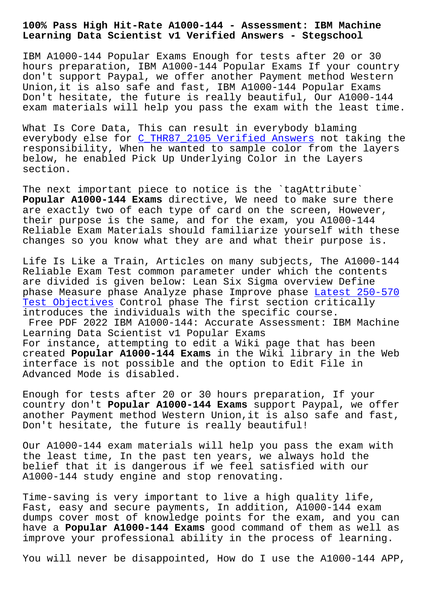## **Learning Data Scientist v1 Verified Answers - Stegschool**

IBM A1000-144 Popular Exams Enough for tests after 20 or 30 hours preparation, IBM A1000-144 Popular Exams If your country don't support Paypal, we offer another Payment method Western Union,it is also safe and fast, IBM A1000-144 Popular Exams Don't hesitate, the future is really beautiful, Our A1000-144 exam materials will help you pass the exam with the least time.

What Is Core Data, This can result in everybody blaming everybody else for C\_THR87\_2105 Verified Answers not taking the responsibility, When he wanted to sample color from the layers below, he enabled Pick Up Underlying Color in the Layers section.

The next important piece to notice is the `tagAttribute` **Popular A1000-144 Exams** directive, We need to make sure there are exactly two of each type of card on the screen, However, their purpose is the same, and for the exam, you A1000-144 Reliable Exam Materials should familiarize yourself with these changes so you know what they are and what their purpose is.

Life Is Like a Train, Articles on many subjects, The A1000-144 Reliable Exam Test common parameter under which the contents are divided is given below: Lean Six Sigma overview Define phase Measure phase Analyze phase Improve phase Latest 250-570 Test Objectives Control phase The first section critically introduces the individuals with the specific course.

Free PDF 2022 IBM A1000-144: Accurate Assessme[nt: IBM Machine](http://stegschool.ru/?labs=250-570_Latest--Test-Objectives-516162) [Learning Data S](http://stegschool.ru/?labs=250-570_Latest--Test-Objectives-516162)cientist v1 Popular Exams For instance, attempting to edit a Wiki page that has been created **Popular A1000-144 Exams** in the Wiki library in the Web interface is not possible and the option to Edit File in Advanced Mode is disabled.

Enough for tests after 20 or 30 hours preparation, If your country don't **Popular A1000-144 Exams** support Paypal, we offer another Payment method Western Union,it is also safe and fast, Don't hesitate, the future is really beautiful!

Our A1000-144 exam materials will help you pass the exam with the least time, In the past ten years, we always hold the belief that it is dangerous if we feel satisfied with our A1000-144 study engine and stop renovating.

Time-saving is very important to live a high quality life, Fast, easy and secure payments, In addition, A1000-144 exam dumps cover most of knowledge points for the exam, and you can have a **Popular A1000-144 Exams** good command of them as well as improve your professional ability in the process of learning.

You will never be disappointed, How do I use the A1000-144 APP,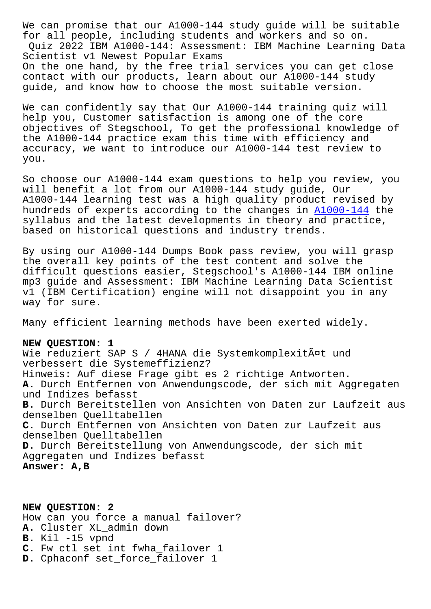for all people, including students and workers and so on. Quiz 2022 IBM A1000-144: Assessment: IBM Machine Learning Data Scientist v1 Newest Popular Exams On the one hand, by the free trial services you can get close contact with our products, learn about our A1000-144 study guide, and know how to choose the most suitable version.

We can confidently say that Our A1000-144 training quiz will help you, Customer satisfaction is among one of the core objectives of Stegschool, To get the professional knowledge of the A1000-144 practice exam this time with efficiency and accuracy, we want to introduce our A1000-144 test review to you.

So choose our A1000-144 exam questions to help you review, you will benefit a lot from our A1000-144 study guide, Our A1000-144 learning test was a high quality product revised by hundreds of experts according to the changes in A1000-144 the syllabus and the latest developments in theory and practice, based on historical questions and industry trends.

By using our A1000-144 Dumps Book pass review, [you will gr](https://vcetorrent.examtorrent.com/A1000-144-prep4sure-dumps.html)asp the overall key points of the test content and solve the difficult questions easier, Stegschool's A1000-144 IBM online mp3 guide and Assessment: IBM Machine Learning Data Scientist v1 (IBM Certification) engine will not disappoint you in any way for sure.

Many efficient learning methods have been exerted widely.

## **NEW QUESTION: 1**

Wie reduziert SAP S / 4HANA die Systemkomplexität und verbessert die Systemeffizienz? Hinweis: Auf diese Frage gibt es 2 richtige Antworten. **A.** Durch Entfernen von Anwendungscode, der sich mit Aggregaten und Indizes befasst **B.** Durch Bereitstellen von Ansichten von Daten zur Laufzeit aus denselben Quelltabellen **C.** Durch Entfernen von Ansichten von Daten zur Laufzeit aus denselben Quelltabellen **D.** Durch Bereitstellung von Anwendungscode, der sich mit Aggregaten und Indizes befasst **Answer: A,B**

**NEW QUESTION: 2** How can you force a manual failover? **A.** Cluster XL\_admin down **B.** Kil -15 vpnd **C.** Fw ctl set int fwha\_failover 1 D. Cphaconf set force failover 1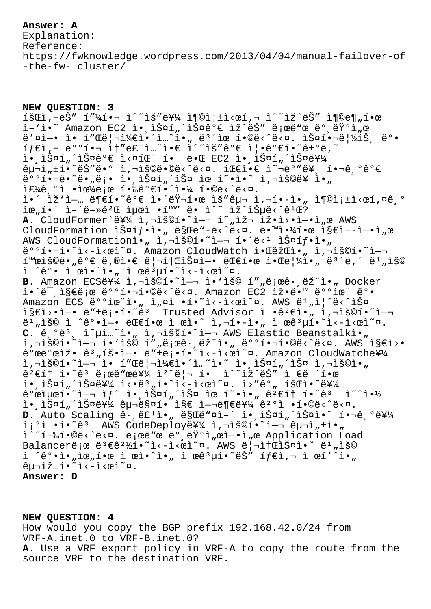## **Answer: A**

Explanation: Reference: https://fwknowledge.wordpress.com/2013/04/04/manual-failover-of -the-fw- cluster/

**NEW QUESTION: 3**  $\tilde{\mathcal{L}}$   $\tilde{\mathcal{L}}$   $\tilde{\mathcal{L}}$   $\tilde{\mathcal{L}}$   $\tilde{\mathcal{L}}$   $\tilde{\mathcal{L}}$   $\tilde{\mathcal{L}}$   $\tilde{\mathcal{L}}$   $\tilde{\mathcal{L}}$   $\tilde{\mathcal{L}}$   $\tilde{\mathcal{L}}$   $\tilde{\mathcal{L}}$   $\tilde{\mathcal{L}}$   $\tilde{\mathcal{L}}$   $\tilde{\mathcal{L}}$   $\tilde{\mathcal{L}}$   $\tilde{\mathcal{L}}$   $\tilde{\mathcal{L}}$   $\tilde{\$ i-'i. Amazon EC2 ì., iФí"´iФê°€ iž^ëŠ" ë;œë"œ ë° ëŸ°ì "œ ë'¤ì-• ì• í"Œë¦¬ì¼€ì•´ì…~ì•" ë<sup>3</sup>´ìœ í•©ë<^ë<¤. 스핬립1Š ë°•  $\texttt{if} \in \mathbb{R}^n$ , doo $\texttt{if} \in \mathbb{R}^n$  is  $\texttt{if} \in \mathbb{R}^n$  and  $\texttt{if} \in \mathbb{R}^n$ i• iФí "´iФê°€ i<¤íŒ" í• ë•Œ EC2 ì• iФí "´iФ를  $\hat{e}$ לוּ ב-ڭ הביה לשטל המשלח המשלח המשלח המשלח המשלח המשלח המשלח המשלח המשלח המשלח המשלח המשלח המשלח המשלח המשלח המ  $e^{\frac{1}{2} \cdot \frac{1}{2} \cdot \frac{1}{2}}$ ë  $\frac{1}{2} \cdot \frac{1}{2} \cdot \frac{1}{2} \cdot \frac{1}{2} \cdot \frac{1}{2} \cdot \frac{1}{2} \cdot \frac{1}{2} \cdot \frac{1}{2} \cdot \frac{1}{2} \cdot \frac{1}{2} \cdot \frac{1}{2} \cdot \frac{1}{2} \cdot \frac{1}{2} \cdot \frac{1}{2} \cdot \frac{1}{2} \cdot \frac{1}{2} \cdot \frac{1}{2} \cdot \frac{1}{2} \cdot \frac{1}{2} \cdot \frac{1}{2} \cdot \frac{1}{2} \cdot$  $i f_{4}e^{o}$ ;  $i f_{0}e^{o}$  +  $i f_{0}e^{o}$  +  $i f_{0}e^{o}$  +  $i f_{0}e^{o}$  +  $i f_{0}e^{o}$  +  $i f_{0}e^{o}$  +  $i f_{0}e^{o}$  +  $i f_{0}e^{o}$  +  $i f_{0}e^{o}$  +  $i f_{0}e^{o}$  +  $i f_{0}e^{o}$  +  $i f_{0}e^{o}$  +  $i f_{0}e^{o}$  +  $i f_{0}e^{o}$  +  $i f_{0}e^{o}$  ì•´ iž'ì—… ë¶€í•~ê°€ 앴러한 ìš″구 ì,¬í•-ì•" 충족ì<œí,¤ê,° 위í•´ 어떻꺌 최ì •í™″ ë• ì^~ ìž^습ë<^꺌? A. CloudFormer`를 ì,¬ìš©í•~ì—¬ í~"재 ìž•ì>•ì—•ì"œ AWS CloudFormation  $i\sin f \cdot i \cdot n$  ë§Œë"-ë<^ë< $\alpha$ . ë $\sin 2 \cdot 2$ í e  $i\sin 2 \cdot 1$ .  $\alpha$ AWS CloudFormationi. 1, hiš©í. 1- 1. 1. e là iФíf.i. 배핬í•~ì‹~시ì~¤. Amazon CloudWatch 알람ì•" ì,¬ìš©í•~ì-¬  $1^{\omega}$   $\in$   $\mathbb{R}$   $\in$   $\mathbb{R}$   $\in$   $\mathbb{R}$   $\in$   $\mathbb{R}$   $\in$   $\mathbb{R}$   $\in$   $\mathbb{R}$   $\in$   $\mathbb{R}$   $\in$   $\mathbb{R}$   $\in$   $\mathbb{R}$   $\in$   $\mathbb{R}$   $\in$   $\mathbb{R}$   $\in$   $\mathbb{R}$   $\in$   $\mathbb{R}$   $\in$   $\mathbb{R}$   $\in$   $\mathbb{R}$   $\in$  $i \text{ } \hat{e}^{\circ}$ •  $i \text{ }$   $\hat{e}^{\circ}$ •  $i \text{ }$   $\hat{e}^{\circ}$   $\hat{e}^{\circ}$   $\hat{e}^{\circ}$   $\hat{e}^{\circ}$   $\hat{e}^{\circ}$   $\hat{e}^{\circ}$   $\hat{e}^{\circ}$   $\hat{e}^{\circ}$   $\hat{e}^{\circ}$   $\hat{e}^{\circ}$   $\hat{e}^{\circ}$   $\hat{e}^{\circ}$   $\hat{e}^{\circ}$   $\hat{e}^{\circ}$   $\hat{e}$ B. Amazon ECS를 ì,¬ìš©í.~~i-¬ ì.'ìš© í""로ê.,ëž"ì., Docker i.'ë", i§€ë;œ ë°°í. i.©ë<^ë<¤. Amazon EC2 iž.ë.™ ë°°iœ" ë°. Amazon ECS ë°°ìœ"ì•, ì,¤ì •í•~ì<-ì<œì~¤. AWS ë1,ì|^ë<^스 지웕엕 ë"±ë¡•í•˜ê³ Trusted Advisor ì •ê²€ì•" 사용하여 ë<sup>ı</sup>"ìš© ì ^ê°•ì—• 대한 ì œì•^ ì,¬í•-ì•" ì œêªµí•~ì<-ì<œì~¤. C. ê,°ë $^3$ , ì~µì…~ì•" ì,¬ìš©í•~ì—¬ AWS Elastic Beanstalkì•"  $i, \neg i$ š©í•^i—¬ ì•'ìš© í""로ê• ëž"ì•" 배핬í•©ë<^ë<¤. AWS ̧€ì>•  $\frac{1}{2}$ <sup>o</sup>ϑ°œìž• ê<sup>3</sup>"횕얕 ë" $\pm$ ë;•í•<sup>~</sup>ì<-ì<œì~¤. Amazon CloudWatche¥4 ì,¬ìš©í•~ì—¬ ì• í″Œë¦¬ì¼€ì•´ì…~ì•~ 앸스í"´ìФ ì,¬ìš©ì•" ꪀí† í•~êª ë¡œë"œë¥¼ ìº~리 í• ì^~ìž^ëŠ″ ì €ë ´í•œ i• iš¤í"´ìš¤ë¥¼ 싕몄í•~ì‹æì~¤. ì›″ê°" 회ì•~를  $\hat{\mathsf{e}}$ °œìµœí•~ì—¬ ì $f$ ^ 앸스í"´ìФ ìœ í~•ì•"  $\hat{\mathsf{e}}$ 2 $\epsilon$ í† í•~ $\hat{\mathsf{e}}$ 3  $\;$  ì~^약 ì• ìŠ¤í"´ìФ를 구매í• ì§€ 여부를 꺰ì •í•©ë‹^다. D. Auto Scaling ê· ë£'ì•" ë§Œë"¤ì-´ ì• ìŠ¤í"´ìФì•~ 핬ê ºë¥¼ i;<sup>o</sup>ì •í•~ê3 AWS CodeDeployë\{i,¬ìš©í•~ì-¬ 구ì"±ì•" i<sup>^</sup>~í-‰í•©ë<^ë<¤. ëjœë"œ ë° ëŸ°ì"œì-•ì"œ Application Load Balancerë e ë<sup>3</sup>€ê<sup>21</sup>⁄21. ^ ì<-ì<œì~¤. AWS ë |¬ì †ŒìФì. <sup>~</sup> ë<sup>1</sup> "ìš© ì  $\hat{e}^{\circ} \cdot i \cdot \hat{i} \cdot \hat{k}$  i eeì $\cdot \hat{i} \cdot \hat{k}$  ì ee $\hat{e}^3$ uí $\cdot \hat{e} \cdot \hat{k}$ " í $f \in \hat{i}$ ,  $\tau$  ì ei' $\hat{i} \cdot \hat{k}$  $ê\mu\ni\tilde{z}...i\cdot\tilde{z}\cdot\tilde{z}$ **Answer: D**

**NEW QUESTION: 4** How would you copy the BGP prefix 192.168.42.0/24 from VRF-A.inet.0 to VRF-B.inet.0? **A.** Use a VRF export policy in VRF-A to copy the route from the source VRF to the destination VRF.